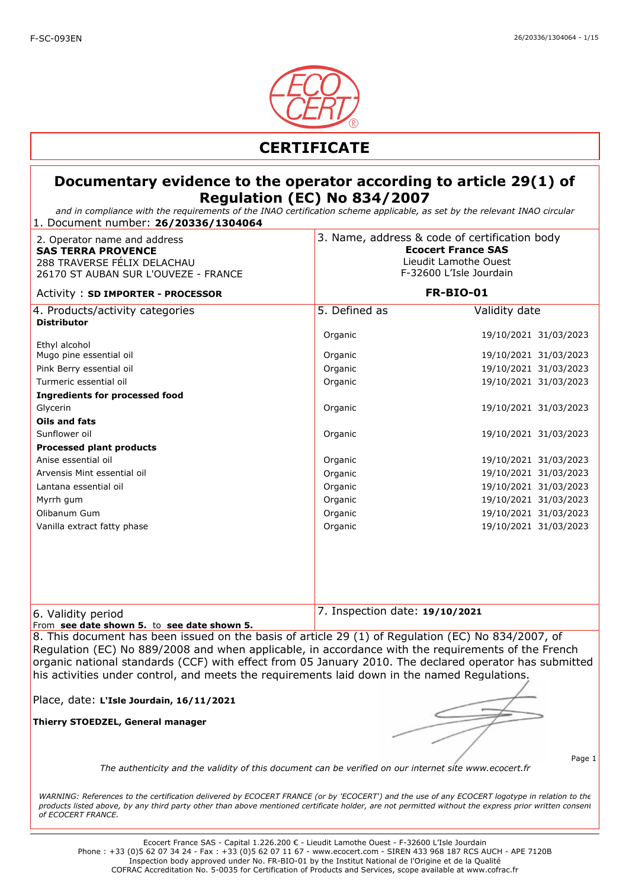

*and in compliance with the requirements of the INAO certification scheme applicable, as set by the relevant INAO circular* 1. Document number: **26/20336/1304064**

| 2. Operator name and address<br><b>SAS TERRA PROVENCE</b><br>288 TRAVERSE FÉLIX DELACHAU<br>26170 ST AUBAN SUR L'OUVEZE - FRANCE | 3. Name, address & code of certification body<br><b>Ecocert France SAS</b><br>Lieudit Lamothe Ouest<br>F-32600 L'Isle Jourdain |                       |
|----------------------------------------------------------------------------------------------------------------------------------|--------------------------------------------------------------------------------------------------------------------------------|-----------------------|
| Activity: SD IMPORTER - PROCESSOR                                                                                                | <b>FR-BIO-01</b>                                                                                                               |                       |
| 4. Products/activity categories<br><b>Distributor</b>                                                                            | 5. Defined as                                                                                                                  | Validity date         |
|                                                                                                                                  | Organic                                                                                                                        | 19/10/2021 31/03/2023 |
| Ethyl alcohol<br>Mugo pine essential oil                                                                                         | Organic                                                                                                                        | 19/10/2021 31/03/2023 |
| Pink Berry essential oil                                                                                                         | Organic                                                                                                                        | 19/10/2021 31/03/2023 |
| Turmeric essential oil                                                                                                           | Organic                                                                                                                        | 19/10/2021 31/03/2023 |
| <b>Ingredients for processed food</b>                                                                                            |                                                                                                                                |                       |
| Glycerin                                                                                                                         | Organic                                                                                                                        | 19/10/2021 31/03/2023 |
| Oils and fats                                                                                                                    |                                                                                                                                |                       |
| Sunflower oil                                                                                                                    | Organic                                                                                                                        | 19/10/2021 31/03/2023 |
| <b>Processed plant products</b>                                                                                                  |                                                                                                                                |                       |
| Anise essential oil                                                                                                              | Organic                                                                                                                        | 19/10/2021 31/03/2023 |
| Arvensis Mint essential oil                                                                                                      | Organic                                                                                                                        | 19/10/2021 31/03/2023 |
| Lantana essential oil                                                                                                            | Organic                                                                                                                        | 19/10/2021 31/03/2023 |
| Myrrh gum                                                                                                                        | Organic                                                                                                                        | 19/10/2021 31/03/2023 |
| Olibanum Gum                                                                                                                     | Organic                                                                                                                        | 19/10/2021 31/03/2023 |
| Vanilla extract fatty phase                                                                                                      | Organic                                                                                                                        | 19/10/2021 31/03/2023 |
|                                                                                                                                  |                                                                                                                                |                       |
|                                                                                                                                  |                                                                                                                                |                       |
|                                                                                                                                  |                                                                                                                                |                       |
|                                                                                                                                  |                                                                                                                                |                       |
|                                                                                                                                  |                                                                                                                                |                       |
| 6. Validity period                                                                                                               | 7. Inspection date: 19/10/2021                                                                                                 |                       |
| From see date shown 5. to see date shown 5.                                                                                      |                                                                                                                                |                       |

8. This document has been issued on the basis of article 29 (1) of Regulation (EC) No 834/2007, of Regulation (EC) No 889/2008 and when applicable, in accordance with the requirements of the French organic national standards (CCF) with effect from 05 January 2010. The declared operator has submitted his activities under control, and meets the requirements laid down in the named Regulations.

Place, date: **L'Isle Jourdain, 16/11/2021**

**Thierry STOEDZEL, General manager**

Page 1

*The authenticity and the validity of this document can be verified on our internet site www.ecocert.fr*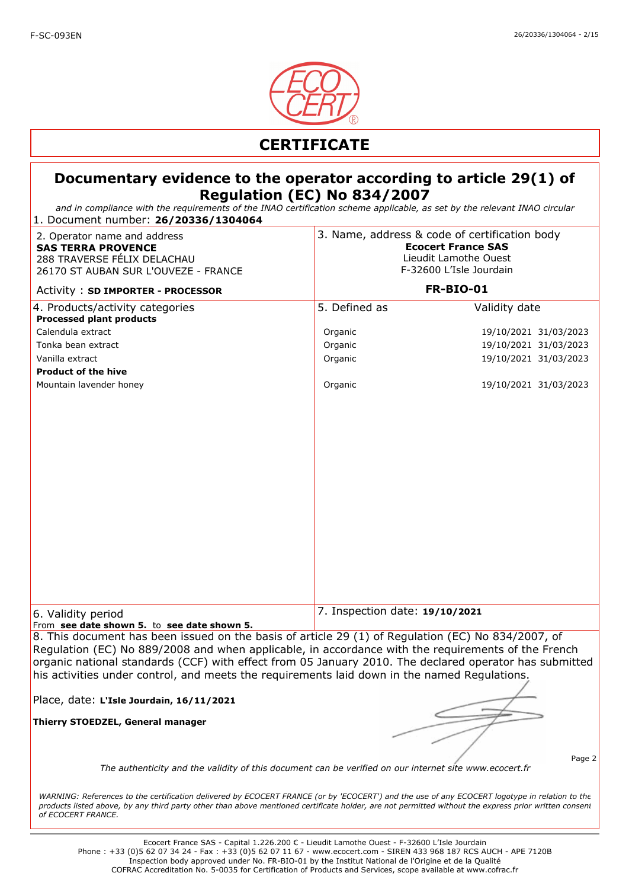

*and in compliance with the requirements of the INAO certification scheme applicable, as set by the relevant INAO circular* 1. Document number: **26/20336/1304064**

| 2. Operator name and address<br><b>SAS TERRA PROVENCE</b><br>288 TRAVERSE FÉLIX DELACHAU<br>26170 ST AUBAN SUR L'OUVEZE - FRANCE                                                                                                                                                                                                                                                                                   | 3. Name, address & code of certification body<br><b>Ecocert France SAS</b><br>Lieudit Lamothe Ouest<br>F-32600 L'Isle Jourdain |                                                                                                                   |
|--------------------------------------------------------------------------------------------------------------------------------------------------------------------------------------------------------------------------------------------------------------------------------------------------------------------------------------------------------------------------------------------------------------------|--------------------------------------------------------------------------------------------------------------------------------|-------------------------------------------------------------------------------------------------------------------|
| Activity: SD IMPORTER - PROCESSOR                                                                                                                                                                                                                                                                                                                                                                                  |                                                                                                                                | <b>FR-BIO-01</b>                                                                                                  |
| 4. Products/activity categories<br><b>Processed plant products</b><br>Calendula extract<br>Tonka bean extract<br>Vanilla extract<br><b>Product of the hive</b><br>Mountain lavender honey                                                                                                                                                                                                                          | 5. Defined as<br>Organic<br>Organic<br>Organic<br>Organic                                                                      | Validity date<br>19/10/2021 31/03/2023<br>19/10/2021 31/03/2023<br>19/10/2021 31/03/2023<br>19/10/2021 31/03/2023 |
|                                                                                                                                                                                                                                                                                                                                                                                                                    |                                                                                                                                | 7. Inspection date: 19/10/2021                                                                                    |
| 6. Validity period<br>From see date shown 5. to see date shown 5.                                                                                                                                                                                                                                                                                                                                                  |                                                                                                                                |                                                                                                                   |
| 8. This document has been issued on the basis of article 29 (1) of Regulation (EC) No 834/2007, of<br>Regulation (EC) No 889/2008 and when applicable, in accordance with the requirements of the French<br>organic national standards (CCF) with effect from 05 January 2010. The declared operator has submitted<br>his activities under control, and meets the requirements laid down in the named Regulations. |                                                                                                                                |                                                                                                                   |
| Place, date: L'Isle Jourdain, 16/11/2021                                                                                                                                                                                                                                                                                                                                                                           |                                                                                                                                |                                                                                                                   |
| Thierry STOEDZEL, General manager                                                                                                                                                                                                                                                                                                                                                                                  |                                                                                                                                |                                                                                                                   |
| The authenticity and the validity of this document can be verified on our internet site www.ecocert.fr                                                                                                                                                                                                                                                                                                             |                                                                                                                                | Page 2                                                                                                            |
| WARNING: References to the certification delivered by ECOCERT FRANCE (or by 'ECOCERT') and the use of any ECOCERT logotype in relation to the<br>products listed above, by any third party other than above mentioned certificate holder, are not permitted without the express prior written consent<br>of ECOCERT FRANCE.                                                                                        |                                                                                                                                |                                                                                                                   |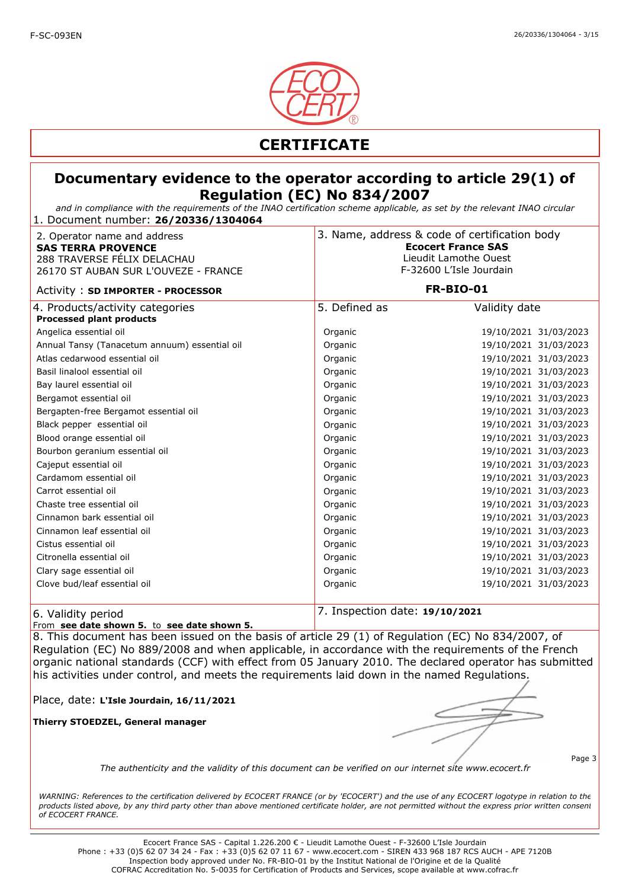

#### **Documentary evidence to the operator according to article 29(1) of Regulation (EC) No 834/2007**

*and in compliance with the requirements of the INAO certification scheme applicable, as set by the relevant INAO circular* 1. Document number: **26/20336/1304064**

| 2. Operator name and address<br><b>SAS TERRA PROVENCE</b><br>288 TRAVERSE FÉLIX DELACHAU<br>26170 ST AUBAN SUR L'OUVEZE - FRANCE |                                | 3. Name, address & code of certification body<br><b>Ecocert France SAS</b><br>Lieudit Lamothe Ouest<br>F-32600 L'Isle Jourdain |  |
|----------------------------------------------------------------------------------------------------------------------------------|--------------------------------|--------------------------------------------------------------------------------------------------------------------------------|--|
| Activity: SD IMPORTER - PROCESSOR                                                                                                |                                | <b>FR-BIO-01</b>                                                                                                               |  |
| 4. Products/activity categories<br><b>Processed plant products</b>                                                               | 5. Defined as                  | Validity date                                                                                                                  |  |
| Angelica essential oil                                                                                                           | Organic                        | 19/10/2021 31/03/2023                                                                                                          |  |
| Annual Tansy (Tanacetum annuum) essential oil                                                                                    | Organic                        | 19/10/2021 31/03/2023                                                                                                          |  |
| Atlas cedarwood essential oil                                                                                                    | Organic                        | 19/10/2021 31/03/2023                                                                                                          |  |
| Basil linalool essential oil                                                                                                     | Organic                        | 19/10/2021 31/03/2023                                                                                                          |  |
| Bay laurel essential oil                                                                                                         | Organic                        | 19/10/2021 31/03/2023                                                                                                          |  |
| Bergamot essential oil                                                                                                           | Organic                        | 19/10/2021 31/03/2023                                                                                                          |  |
| Bergapten-free Bergamot essential oil                                                                                            | Organic                        | 19/10/2021 31/03/2023                                                                                                          |  |
| Black pepper essential oil                                                                                                       | Organic                        | 19/10/2021 31/03/2023                                                                                                          |  |
| Blood orange essential oil                                                                                                       | Organic                        | 19/10/2021 31/03/2023                                                                                                          |  |
| Bourbon geranium essential oil                                                                                                   | Organic                        | 19/10/2021 31/03/2023                                                                                                          |  |
| Cajeput essential oil                                                                                                            | Organic                        | 19/10/2021 31/03/2023                                                                                                          |  |
| Cardamom essential oil                                                                                                           | Organic                        | 19/10/2021 31/03/2023                                                                                                          |  |
| Carrot essential oil                                                                                                             | Organic                        | 19/10/2021 31/03/2023                                                                                                          |  |
| Chaste tree essential oil                                                                                                        | Organic                        | 19/10/2021 31/03/2023                                                                                                          |  |
| Cinnamon bark essential oil                                                                                                      | Organic                        | 19/10/2021 31/03/2023                                                                                                          |  |
| Cinnamon leaf essential oil                                                                                                      | Organic                        | 19/10/2021 31/03/2023                                                                                                          |  |
| Cistus essential oil                                                                                                             | Organic                        | 19/10/2021 31/03/2023                                                                                                          |  |
| Citronella essential oil                                                                                                         | Organic                        | 19/10/2021 31/03/2023                                                                                                          |  |
| Clary sage essential oil                                                                                                         | Organic                        | 19/10/2021 31/03/2023                                                                                                          |  |
| Clove bud/leaf essential oil                                                                                                     | Organic                        | 19/10/2021 31/03/2023                                                                                                          |  |
| 6. Validity period                                                                                                               | 7. Inspection date: 19/10/2021 |                                                                                                                                |  |

From **see date shown 5.** to **see date shown 5.** 

8. This document has been issued on the basis of article 29 (1) of Regulation (EC) No 834/2007, of Regulation (EC) No 889/2008 and when applicable, in accordance with the requirements of the French organic national standards (CCF) with effect from 05 January 2010. The declared operator has submitted his activities under control, and meets the requirements laid down in the named Regulations.

Place, date: **L'Isle Jourdain, 16/11/2021**

**Thierry STOEDZEL, General manager**

Page 3

*The authenticity and the validity of this document can be verified on our internet site www.ecocert.fr*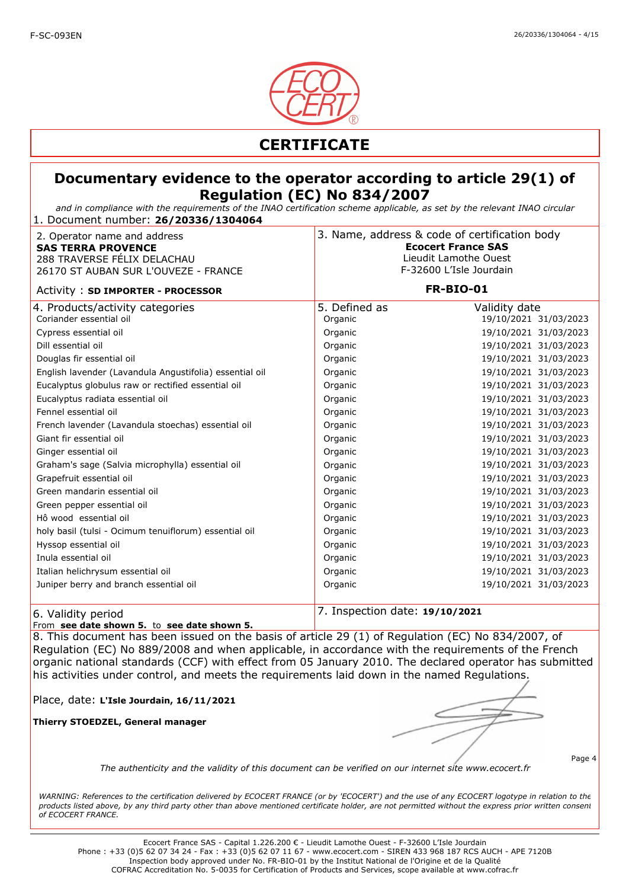

*and in compliance with the requirements of the INAO certification scheme applicable, as set by the relevant INAO circular* 1. Document number: **26/20336/1304064**

| 2. Operator name and address<br><b>SAS TERRA PROVENCE</b><br>288 TRAVERSE FÉLIX DELACHAU<br>26170 ST AUBAN SUR L'OUVEZE - FRANCE |                                | 3. Name, address & code of certification body<br><b>Ecocert France SAS</b><br>Lieudit Lamothe Ouest<br>F-32600 L'Isle Jourdain |  |
|----------------------------------------------------------------------------------------------------------------------------------|--------------------------------|--------------------------------------------------------------------------------------------------------------------------------|--|
| Activity: SD IMPORTER - PROCESSOR                                                                                                |                                | <b>FR-BIO-01</b>                                                                                                               |  |
| 4. Products/activity categories<br>Coriander essential oil                                                                       | 5. Defined as<br>Organic       | Validity date<br>19/10/2021 31/03/2023                                                                                         |  |
| Cypress essential oil                                                                                                            | Organic                        | 19/10/2021 31/03/2023                                                                                                          |  |
| Dill essential oil                                                                                                               | Organic                        | 19/10/2021 31/03/2023                                                                                                          |  |
| Douglas fir essential oil                                                                                                        | Organic                        | 19/10/2021 31/03/2023                                                                                                          |  |
| English lavender (Lavandula Angustifolia) essential oil                                                                          | Organic                        | 19/10/2021 31/03/2023                                                                                                          |  |
| Eucalyptus globulus raw or rectified essential oil                                                                               | Organic                        | 19/10/2021 31/03/2023                                                                                                          |  |
| Eucalyptus radiata essential oil                                                                                                 | Organic                        | 19/10/2021 31/03/2023                                                                                                          |  |
| Fennel essential oil                                                                                                             | Organic                        | 19/10/2021 31/03/2023                                                                                                          |  |
| French lavender (Lavandula stoechas) essential oil                                                                               | Organic                        | 19/10/2021 31/03/2023                                                                                                          |  |
| Giant fir essential oil                                                                                                          | Organic                        | 19/10/2021 31/03/2023                                                                                                          |  |
| Ginger essential oil                                                                                                             | Organic                        | 19/10/2021 31/03/2023                                                                                                          |  |
| Graham's sage (Salvia microphylla) essential oil                                                                                 | Organic                        | 19/10/2021 31/03/2023                                                                                                          |  |
| Grapefruit essential oil                                                                                                         | Organic                        | 19/10/2021 31/03/2023                                                                                                          |  |
| Green mandarin essential oil                                                                                                     | Organic                        | 19/10/2021 31/03/2023                                                                                                          |  |
| Green pepper essential oil                                                                                                       | Organic                        | 19/10/2021 31/03/2023                                                                                                          |  |
| Hô wood essential oil                                                                                                            | Organic                        | 19/10/2021 31/03/2023                                                                                                          |  |
| holy basil (tulsi - Ocimum tenuiflorum) essential oil                                                                            | Organic                        | 19/10/2021 31/03/2023                                                                                                          |  |
| Hyssop essential oil                                                                                                             | Organic                        | 19/10/2021 31/03/2023                                                                                                          |  |
| Inula essential oil                                                                                                              | Organic                        | 19/10/2021 31/03/2023                                                                                                          |  |
| Italian helichrysum essential oil                                                                                                | Organic                        | 19/10/2021 31/03/2023                                                                                                          |  |
| Juniper berry and branch essential oil                                                                                           | Organic                        | 19/10/2021 31/03/2023                                                                                                          |  |
| 6. Validity period                                                                                                               | 7. Inspection date: 19/10/2021 |                                                                                                                                |  |

From **see date shown 5.** to **see date shown 5.** 

8. This document has been issued on the basis of article 29 (1) of Regulation (EC) No 834/2007, of Regulation (EC) No 889/2008 and when applicable, in accordance with the requirements of the French organic national standards (CCF) with effect from 05 January 2010. The declared operator has submitted his activities under control, and meets the requirements laid down in the named Regulations.

Place, date: **L'Isle Jourdain, 16/11/2021**

**Thierry STOEDZEL, General manager**

Page 4

*The authenticity and the validity of this document can be verified on our internet site www.ecocert.fr*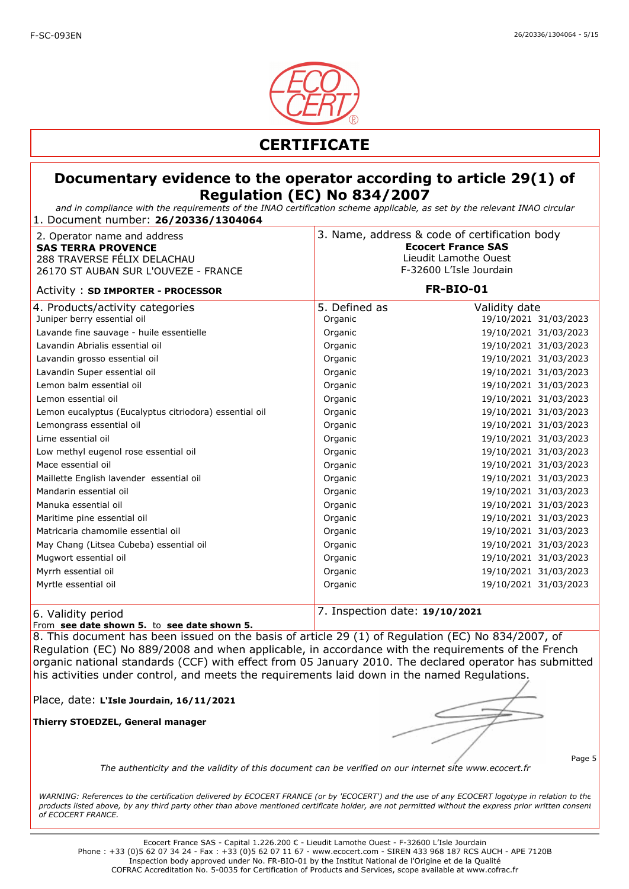

*and in compliance with the requirements of the INAO certification scheme applicable, as set by the relevant INAO circular* 1. Document number: **26/20336/1304064**

| 2. Operator name and address<br><b>SAS TERRA PROVENCE</b><br>288 TRAVERSE FÉLIX DELACHAU<br>26170 ST AUBAN SUR L'OUVEZE - FRANCE | 3. Name, address & code of certification body<br><b>Ecocert France SAS</b><br>Lieudit Lamothe Ouest<br>F-32600 L'Isle Jourdain |                       |  |
|----------------------------------------------------------------------------------------------------------------------------------|--------------------------------------------------------------------------------------------------------------------------------|-----------------------|--|
| Activity: SD IMPORTER - PROCESSOR                                                                                                |                                                                                                                                | <b>FR-BIO-01</b>      |  |
| 4. Products/activity categories                                                                                                  | 5. Defined as                                                                                                                  | Validity date         |  |
| Juniper berry essential oil                                                                                                      | Organic                                                                                                                        | 19/10/2021 31/03/2023 |  |
| Lavande fine sauvage - huile essentielle                                                                                         | Organic                                                                                                                        | 19/10/2021 31/03/2023 |  |
| Lavandin Abrialis essential oil                                                                                                  | Organic                                                                                                                        | 19/10/2021 31/03/2023 |  |
| Lavandin grosso essential oil                                                                                                    | Organic                                                                                                                        | 19/10/2021 31/03/2023 |  |
| Lavandin Super essential oil                                                                                                     | Organic                                                                                                                        | 19/10/2021 31/03/2023 |  |
| Lemon balm essential oil                                                                                                         | Organic                                                                                                                        | 19/10/2021 31/03/2023 |  |
| Lemon essential oil                                                                                                              | Organic                                                                                                                        | 19/10/2021 31/03/2023 |  |
| Lemon eucalyptus (Eucalyptus citriodora) essential oil                                                                           | Organic                                                                                                                        | 19/10/2021 31/03/2023 |  |
| Lemongrass essential oil                                                                                                         | Organic                                                                                                                        | 19/10/2021 31/03/2023 |  |
| Lime essential oil                                                                                                               | Organic                                                                                                                        | 19/10/2021 31/03/2023 |  |
| Low methyl eugenol rose essential oil                                                                                            | Organic                                                                                                                        | 19/10/2021 31/03/2023 |  |
| Mace essential oil                                                                                                               | Organic                                                                                                                        | 19/10/2021 31/03/2023 |  |
| Maillette English lavender essential oil                                                                                         | Organic                                                                                                                        | 19/10/2021 31/03/2023 |  |
| Mandarin essential oil                                                                                                           | Organic                                                                                                                        | 19/10/2021 31/03/2023 |  |
| Manuka essential oil                                                                                                             | Organic                                                                                                                        | 19/10/2021 31/03/2023 |  |
| Maritime pine essential oil                                                                                                      | Organic                                                                                                                        | 19/10/2021 31/03/2023 |  |
| Matricaria chamomile essential oil                                                                                               | Organic                                                                                                                        | 19/10/2021 31/03/2023 |  |
| May Chang (Litsea Cubeba) essential oil                                                                                          | Organic                                                                                                                        | 19/10/2021 31/03/2023 |  |
| Mugwort essential oil                                                                                                            | Organic                                                                                                                        | 19/10/2021 31/03/2023 |  |
| Myrrh essential oil                                                                                                              | Organic                                                                                                                        | 19/10/2021 31/03/2023 |  |
| Myrtle essential oil                                                                                                             | Organic                                                                                                                        | 19/10/2021 31/03/2023 |  |
| 6. Validity period                                                                                                               | 7. Inspection date: 19/10/2021                                                                                                 |                       |  |

From **see date shown 5.** to **see date shown 5.** 

8. This document has been issued on the basis of article 29 (1) of Regulation (EC) No 834/2007, of Regulation (EC) No 889/2008 and when applicable, in accordance with the requirements of the French organic national standards (CCF) with effect from 05 January 2010. The declared operator has submitted his activities under control, and meets the requirements laid down in the named Regulations.

Place, date: **L'Isle Jourdain, 16/11/2021**

**Thierry STOEDZEL, General manager**

Page 5

*The authenticity and the validity of this document can be verified on our internet site www.ecocert.fr*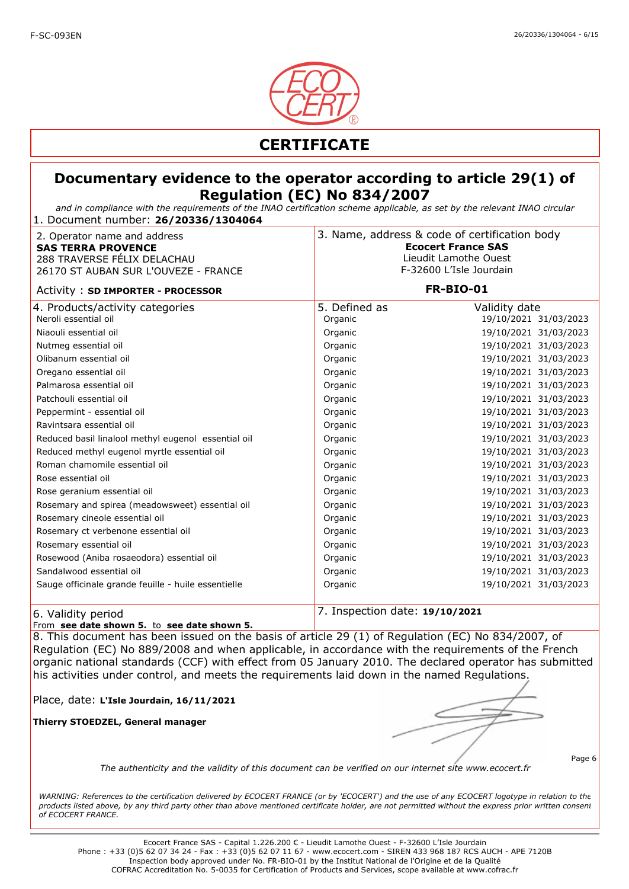

*and in compliance with the requirements of the INAO certification scheme applicable, as set by the relevant INAO circular* 1. Document number: **26/20336/1304064**

| 2. Operator name and address<br><b>SAS TERRA PROVENCE</b><br>288 TRAVERSE FÉLIX DELACHAU<br>26170 ST AUBAN SUR L'OUVEZE - FRANCE |                                | 3. Name, address & code of certification body<br><b>Ecocert France SAS</b><br>Lieudit Lamothe Ouest<br>F-32600 L'Isle Jourdain |  |
|----------------------------------------------------------------------------------------------------------------------------------|--------------------------------|--------------------------------------------------------------------------------------------------------------------------------|--|
| Activity: SD IMPORTER - PROCESSOR                                                                                                |                                | <b>FR-BIO-01</b>                                                                                                               |  |
| 4. Products/activity categories<br>Neroli essential oil                                                                          | 5. Defined as<br>Organic       | Validity date<br>19/10/2021 31/03/2023                                                                                         |  |
| Niaouli essential oil                                                                                                            | Organic                        | 19/10/2021 31/03/2023                                                                                                          |  |
| Nutmeg essential oil                                                                                                             | Organic                        | 19/10/2021 31/03/2023                                                                                                          |  |
| Olibanum essential oil                                                                                                           | Organic                        | 19/10/2021 31/03/2023                                                                                                          |  |
| Oregano essential oil                                                                                                            | Organic                        | 19/10/2021 31/03/2023                                                                                                          |  |
| Palmarosa essential oil                                                                                                          | Organic                        | 19/10/2021 31/03/2023                                                                                                          |  |
| Patchouli essential oil                                                                                                          | Organic                        | 19/10/2021 31/03/2023                                                                                                          |  |
| Peppermint - essential oil                                                                                                       | Organic                        | 19/10/2021 31/03/2023                                                                                                          |  |
| Ravintsara essential oil                                                                                                         | Organic                        | 19/10/2021 31/03/2023                                                                                                          |  |
| Reduced basil linalool methyl eugenol essential oil                                                                              | Organic                        | 19/10/2021 31/03/2023                                                                                                          |  |
| Reduced methyl eugenol myrtle essential oil                                                                                      | Organic                        | 19/10/2021 31/03/2023                                                                                                          |  |
| Roman chamomile essential oil                                                                                                    | Organic                        | 19/10/2021 31/03/2023                                                                                                          |  |
| Rose essential oil                                                                                                               | Organic                        | 19/10/2021 31/03/2023                                                                                                          |  |
| Rose geranium essential oil                                                                                                      | Organic                        | 19/10/2021 31/03/2023                                                                                                          |  |
| Rosemary and spirea (meadowsweet) essential oil                                                                                  | Organic                        | 19/10/2021 31/03/2023                                                                                                          |  |
| Rosemary cineole essential oil                                                                                                   | Organic                        | 19/10/2021 31/03/2023                                                                                                          |  |
| Rosemary ct verbenone essential oil                                                                                              | Organic                        | 19/10/2021 31/03/2023                                                                                                          |  |
| Rosemary essential oil                                                                                                           | Organic                        | 19/10/2021 31/03/2023                                                                                                          |  |
| Rosewood (Aniba rosaeodora) essential oil                                                                                        | Organic                        | 19/10/2021 31/03/2023                                                                                                          |  |
| Sandalwood essential oil                                                                                                         | Organic                        | 19/10/2021 31/03/2023                                                                                                          |  |
| Sauge officinale grande feuille - huile essentielle                                                                              | Organic                        | 19/10/2021 31/03/2023                                                                                                          |  |
| 6. Validity period                                                                                                               | 7. Inspection date: 19/10/2021 |                                                                                                                                |  |

From **see date shown 5.** to **see date shown 5.** 

8. This document has been issued on the basis of article 29 (1) of Regulation (EC) No 834/2007, of Regulation (EC) No 889/2008 and when applicable, in accordance with the requirements of the French organic national standards (CCF) with effect from 05 January 2010. The declared operator has submitted his activities under control, and meets the requirements laid down in the named Regulations.

Place, date: **L'Isle Jourdain, 16/11/2021**

**Thierry STOEDZEL, General manager**

Page 6

*The authenticity and the validity of this document can be verified on our internet site www.ecocert.fr*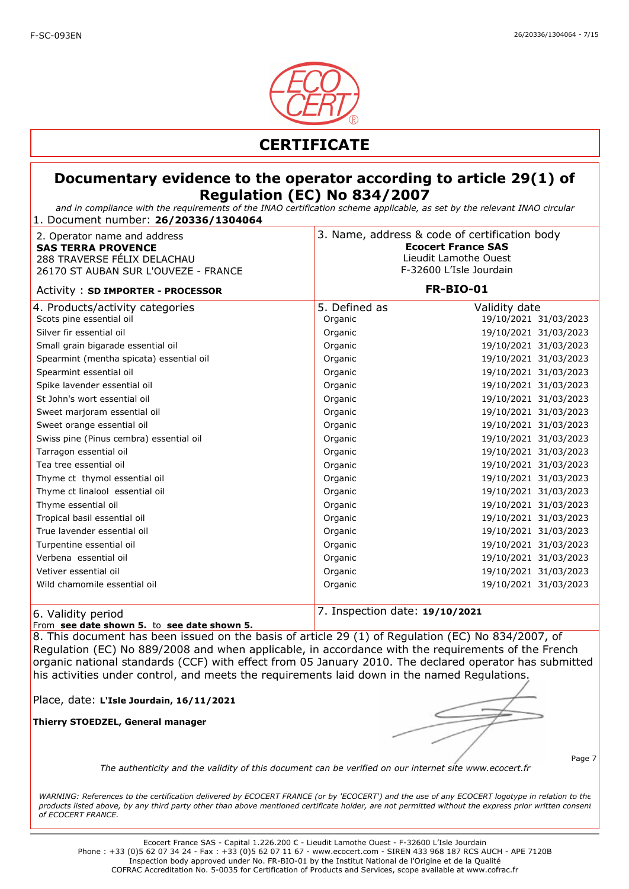

*and in compliance with the requirements of the INAO certification scheme applicable, as set by the relevant INAO circular* 1. Document number: **26/20336/1304064**

| 2. Operator name and address<br><b>SAS TERRA PROVENCE</b><br>288 TRAVERSE FÉLIX DELACHAU<br>26170 ST AUBAN SUR L'OUVEZE - FRANCE | 3. Name, address & code of certification body<br><b>Ecocert France SAS</b><br>Lieudit Lamothe Ouest<br>F-32600 L'Isle Jourdain |                                        |
|----------------------------------------------------------------------------------------------------------------------------------|--------------------------------------------------------------------------------------------------------------------------------|----------------------------------------|
| Activity: SD IMPORTER - PROCESSOR                                                                                                | <b>FR-BIO-01</b>                                                                                                               |                                        |
| 4. Products/activity categories<br>Scots pine essential oil                                                                      | 5. Defined as<br>Organic                                                                                                       | Validity date<br>19/10/2021 31/03/2023 |
| Silver fir essential oil                                                                                                         | Organic                                                                                                                        | 19/10/2021 31/03/2023                  |
| Small grain bigarade essential oil                                                                                               | Organic                                                                                                                        | 19/10/2021 31/03/2023                  |
| Spearmint (mentha spicata) essential oil                                                                                         | Organic                                                                                                                        | 19/10/2021 31/03/2023                  |
| Spearmint essential oil                                                                                                          | Organic                                                                                                                        | 19/10/2021 31/03/2023                  |
| Spike lavender essential oil                                                                                                     | Organic                                                                                                                        | 19/10/2021 31/03/2023                  |
| St John's wort essential oil                                                                                                     | Organic                                                                                                                        | 19/10/2021 31/03/2023                  |
| Sweet marjoram essential oil                                                                                                     | Organic                                                                                                                        | 19/10/2021 31/03/2023                  |
| Sweet orange essential oil                                                                                                       | Organic                                                                                                                        | 19/10/2021 31/03/2023                  |
| Swiss pine (Pinus cembra) essential oil                                                                                          | Organic                                                                                                                        | 19/10/2021 31/03/2023                  |
| Tarragon essential oil                                                                                                           | Organic                                                                                                                        | 19/10/2021 31/03/2023                  |
| Tea tree essential oil                                                                                                           | Organic                                                                                                                        | 19/10/2021 31/03/2023                  |
| Thyme ct thymol essential oil                                                                                                    | Organic                                                                                                                        | 19/10/2021 31/03/2023                  |
| Thyme ct linalool essential oil                                                                                                  | Organic                                                                                                                        | 19/10/2021 31/03/2023                  |
| Thyme essential oil                                                                                                              | Organic                                                                                                                        | 19/10/2021 31/03/2023                  |
| Tropical basil essential oil                                                                                                     | Organic                                                                                                                        | 19/10/2021 31/03/2023                  |
| True lavender essential oil                                                                                                      | Organic                                                                                                                        | 19/10/2021 31/03/2023                  |
| Turpentine essential oil                                                                                                         | Organic                                                                                                                        | 19/10/2021 31/03/2023                  |
| Verbena essential oil                                                                                                            | Organic                                                                                                                        | 19/10/2021 31/03/2023                  |
| Vetiver essential oil                                                                                                            | Organic                                                                                                                        | 19/10/2021 31/03/2023                  |
| Wild chamomile essential oil                                                                                                     | Organic                                                                                                                        | 19/10/2021 31/03/2023                  |
| 6. Validity period                                                                                                               | 7. Inspection date: 19/10/2021                                                                                                 |                                        |

From **see date shown 5.** to **see date shown 5.** 

8. This document has been issued on the basis of article 29 (1) of Regulation (EC) No 834/2007, of Regulation (EC) No 889/2008 and when applicable, in accordance with the requirements of the French organic national standards (CCF) with effect from 05 January 2010. The declared operator has submitted his activities under control, and meets the requirements laid down in the named Regulations.

Place, date: **L'Isle Jourdain, 16/11/2021**

**Thierry STOEDZEL, General manager**

*The authenticity and the validity of this document can be verified on our internet site www.ecocert.fr*

Page 7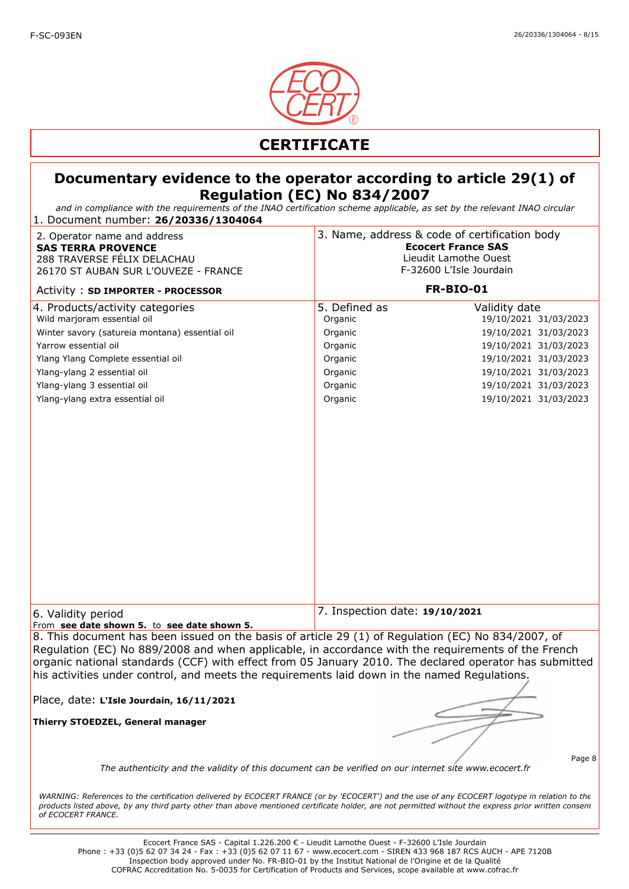

*and in compliance with the requirements of the INAO certification scheme applicable, as set by the relevant INAO circular* 1. Document number: **26/20336/1304064**

| 2. Operator name and address<br><b>SAS TERRA PROVENCE</b><br>288 TRAVERSE FÉLIX DELACHAU<br>26170 ST AUBAN SUR L'OUVEZE - FRANCE<br>Activity: SD IMPORTER - PROCESSOR                                                                                                                                                       |                                | 3. Name, address & code of certification body<br><b>Ecocert France SAS</b><br>Lieudit Lamothe Ouest<br>F-32600 L'Isle Jourdain<br><b>FR-BIO-01</b> |
|-----------------------------------------------------------------------------------------------------------------------------------------------------------------------------------------------------------------------------------------------------------------------------------------------------------------------------|--------------------------------|----------------------------------------------------------------------------------------------------------------------------------------------------|
| 4. Products/activity categories                                                                                                                                                                                                                                                                                             | 5. Defined as                  | Validity date                                                                                                                                      |
| Wild marjoram essential oil                                                                                                                                                                                                                                                                                                 | Organic                        | 19/10/2021 31/03/2023                                                                                                                              |
| Winter savory (satureia montana) essential oil                                                                                                                                                                                                                                                                              | Organic                        | 19/10/2021 31/03/2023                                                                                                                              |
| Yarrow essential oil                                                                                                                                                                                                                                                                                                        | Organic                        | 19/10/2021 31/03/2023                                                                                                                              |
| Ylang Ylang Complete essential oil                                                                                                                                                                                                                                                                                          | Organic                        | 19/10/2021 31/03/2023                                                                                                                              |
| Ylang-ylang 2 essential oil                                                                                                                                                                                                                                                                                                 | Organic                        | 19/10/2021 31/03/2023                                                                                                                              |
| Ylang-ylang 3 essential oil                                                                                                                                                                                                                                                                                                 | Organic                        | 19/10/2021 31/03/2023                                                                                                                              |
| Ylang-ylang extra essential oil                                                                                                                                                                                                                                                                                             | Organic                        | 19/10/2021 31/03/2023                                                                                                                              |
|                                                                                                                                                                                                                                                                                                                             |                                |                                                                                                                                                    |
| 6. Validity period<br>From see date shown 5. to see date shown 5.                                                                                                                                                                                                                                                           | 7. Inspection date: 19/10/2021 |                                                                                                                                                    |
| 8. This document has been issued on the basis of article 29 (1) of Regulation (EC) No 834/2007, of                                                                                                                                                                                                                          |                                |                                                                                                                                                    |
| Regulation (EC) No 889/2008 and when applicable, in accordance with the requirements of the French<br>organic national standards (CCF) with effect from 05 January 2010. The declared operator has submitted<br>his activities under control, and meets the requirements laid down in the named Requlations.                |                                |                                                                                                                                                    |
| Place, date: L'Isle Jourdain, 16/11/2021                                                                                                                                                                                                                                                                                    |                                |                                                                                                                                                    |
| Thierry STOEDZEL, General manager                                                                                                                                                                                                                                                                                           |                                |                                                                                                                                                    |
| The authenticity and the validity of this document can be verified on our internet site www.ecocert.fr                                                                                                                                                                                                                      |                                | Page 8                                                                                                                                             |
| WARNING: References to the certification delivered by ECOCERT FRANCE (or by 'ECOCERT') and the use of any ECOCERT logotype in relation to the<br>products listed above, by any third party other than above mentioned certificate holder, are not permitted without the express prior written consent<br>of ECOCERT FRANCE. |                                |                                                                                                                                                    |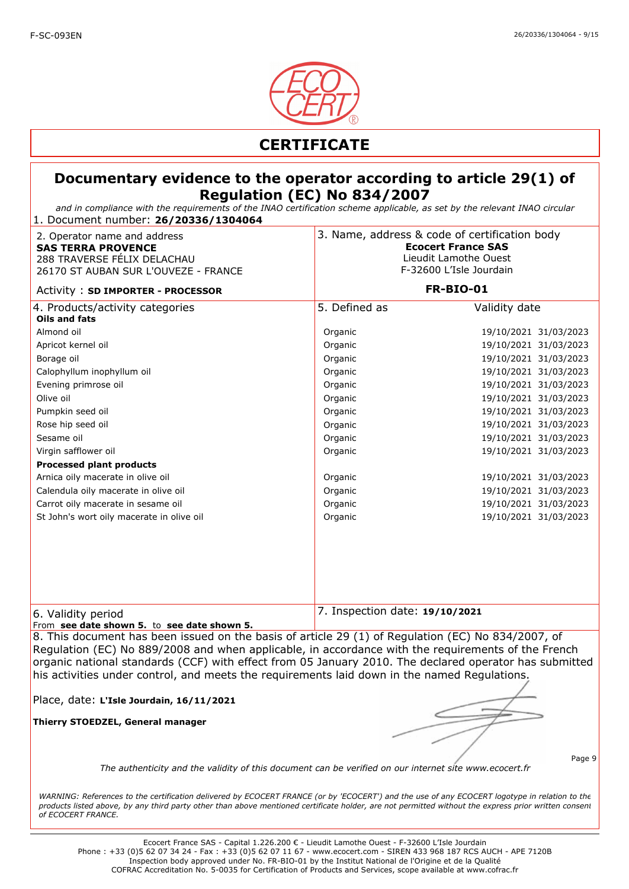

*and in compliance with the requirements of the INAO certification scheme applicable, as set by the relevant INAO circular* 1. Document number: **26/20336/1304064**

| 2. Operator name and address<br><b>SAS TERRA PROVENCE</b><br>288 TRAVERSE FÉLIX DELACHAU<br>26170 ST AUBAN SUR L'OUVEZE - FRANCE | 3. Name, address & code of certification body<br><b>Ecocert France SAS</b><br>Lieudit Lamothe Ouest<br>F-32600 L'Isle Jourdain |                       |
|----------------------------------------------------------------------------------------------------------------------------------|--------------------------------------------------------------------------------------------------------------------------------|-----------------------|
| Activity: SD IMPORTER - PROCESSOR                                                                                                | <b>FR-BIO-01</b>                                                                                                               |                       |
| 4. Products/activity categories<br>Oils and fats                                                                                 | 5. Defined as                                                                                                                  | Validity date         |
| Almond oil                                                                                                                       | Organic                                                                                                                        | 19/10/2021 31/03/2023 |
| Apricot kernel oil                                                                                                               | Organic                                                                                                                        | 19/10/2021 31/03/2023 |
| Borage oil                                                                                                                       | Organic                                                                                                                        | 19/10/2021 31/03/2023 |
| Calophyllum inophyllum oil                                                                                                       | Organic                                                                                                                        | 19/10/2021 31/03/2023 |
| Evening primrose oil                                                                                                             | Organic                                                                                                                        | 19/10/2021 31/03/2023 |
| Olive oil                                                                                                                        | Organic                                                                                                                        | 19/10/2021 31/03/2023 |
| Pumpkin seed oil                                                                                                                 | Organic                                                                                                                        | 19/10/2021 31/03/2023 |
| Rose hip seed oil                                                                                                                | Organic                                                                                                                        | 19/10/2021 31/03/2023 |
| Sesame oil                                                                                                                       | Organic                                                                                                                        | 19/10/2021 31/03/2023 |
| Virgin safflower oil                                                                                                             | Organic                                                                                                                        | 19/10/2021 31/03/2023 |
| <b>Processed plant products</b>                                                                                                  |                                                                                                                                |                       |
| Arnica oily macerate in olive oil                                                                                                | Organic                                                                                                                        | 19/10/2021 31/03/2023 |
| Calendula oily macerate in olive oil                                                                                             | Organic                                                                                                                        | 19/10/2021 31/03/2023 |
| Carrot oily macerate in sesame oil                                                                                               | Organic                                                                                                                        | 19/10/2021 31/03/2023 |
| St John's wort oily macerate in olive oil                                                                                        | Organic                                                                                                                        | 19/10/2021 31/03/2023 |
|                                                                                                                                  |                                                                                                                                |                       |
| 6. Validity period<br>From see date shown 5. to see date shown 5.                                                                | 7. Inspection date: 19/10/2021                                                                                                 |                       |

8. This document has been issued on the basis of article 29 (1) of Regulation (EC) No 834/2007, of Regulation (EC) No 889/2008 and when applicable, in accordance with the requirements of the French organic national standards (CCF) with effect from 05 January 2010. The declared operator has submitted his activities under control, and meets the requirements laid down in the named Regulations.

Place, date: **L'Isle Jourdain, 16/11/2021**

**Thierry STOEDZEL, General manager**

Page 9

*The authenticity and the validity of this document can be verified on our internet site www.ecocert.fr*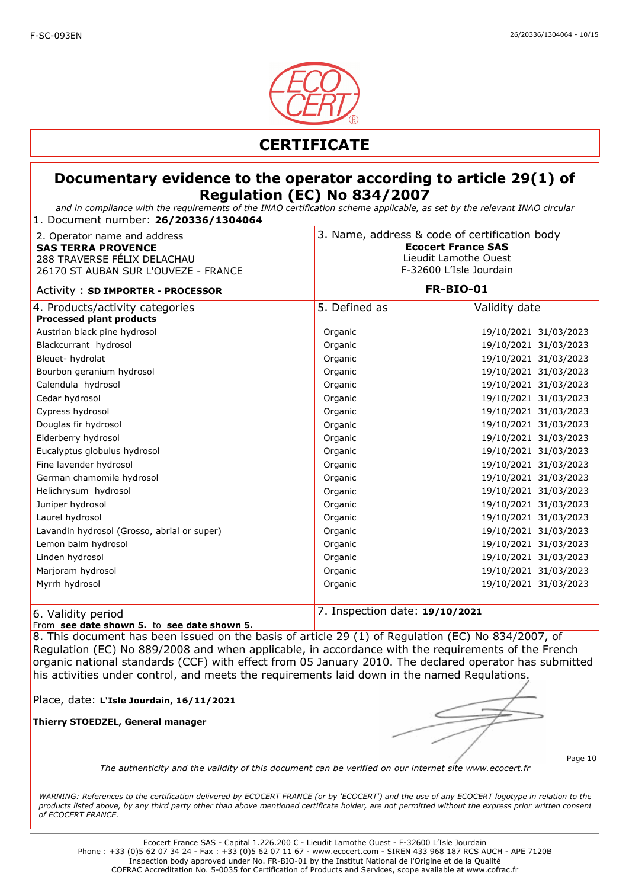

### **Documentary evidence to the operator according to article 29(1) of Regulation (EC) No 834/2007**

*and in compliance with the requirements of the INAO certification scheme applicable, as set by the relevant INAO circular* 1. Document number: **26/20336/1304064**

| 2. Operator name and address<br><b>SAS TERRA PROVENCE</b><br>288 TRAVERSE FÉLIX DELACHAU<br>26170 ST AUBAN SUR L'OUVEZE - FRANCE |               | 3. Name, address & code of certification body<br><b>Ecocert France SAS</b><br>Lieudit Lamothe Ouest<br>F-32600 L'Isle Jourdain<br><b>FR-BIO-01</b> |  |
|----------------------------------------------------------------------------------------------------------------------------------|---------------|----------------------------------------------------------------------------------------------------------------------------------------------------|--|
| Activity: SD IMPORTER - PROCESSOR                                                                                                |               |                                                                                                                                                    |  |
| 4. Products/activity categories<br><b>Processed plant products</b>                                                               | 5. Defined as | Validity date                                                                                                                                      |  |
| Austrian black pine hydrosol                                                                                                     | Organic       | 19/10/2021 31/03/2023                                                                                                                              |  |
| Blackcurrant hydrosol                                                                                                            | Organic       | 19/10/2021 31/03/2023                                                                                                                              |  |
| Bleuet-hydrolat                                                                                                                  | Organic       | 19/10/2021 31/03/2023                                                                                                                              |  |
| Bourbon geranium hydrosol                                                                                                        | Organic       | 19/10/2021 31/03/2023                                                                                                                              |  |
| Calendula hydrosol                                                                                                               | Organic       | 19/10/2021 31/03/2023                                                                                                                              |  |
| Cedar hydrosol                                                                                                                   | Organic       | 19/10/2021 31/03/2023                                                                                                                              |  |
| Cypress hydrosol                                                                                                                 | Organic       | 19/10/2021 31/03/2023                                                                                                                              |  |
| Douglas fir hydrosol                                                                                                             | Organic       | 19/10/2021 31/03/2023                                                                                                                              |  |
| Elderberry hydrosol                                                                                                              | Organic       | 19/10/2021 31/03/2023                                                                                                                              |  |
| Eucalyptus globulus hydrosol                                                                                                     | Organic       | 19/10/2021 31/03/2023                                                                                                                              |  |
| Fine lavender hydrosol                                                                                                           | Organic       | 19/10/2021 31/03/2023                                                                                                                              |  |
| German chamomile hydrosol                                                                                                        | Organic       | 19/10/2021 31/03/2023                                                                                                                              |  |
| Helichrysum hydrosol                                                                                                             | Organic       | 19/10/2021 31/03/2023                                                                                                                              |  |
| Juniper hydrosol                                                                                                                 | Organic       | 19/10/2021 31/03/2023                                                                                                                              |  |
| Laurel hydrosol                                                                                                                  | Organic       | 19/10/2021 31/03/2023                                                                                                                              |  |
| Lavandin hydrosol (Grosso, abrial or super)                                                                                      | Organic       | 19/10/2021 31/03/2023                                                                                                                              |  |
| Lemon balm hydrosol                                                                                                              | Organic       | 19/10/2021 31/03/2023                                                                                                                              |  |
| Linden hydrosol                                                                                                                  | Organic       | 19/10/2021 31/03/2023                                                                                                                              |  |
| Marjoram hydrosol                                                                                                                | Organic       | 19/10/2021 31/03/2023                                                                                                                              |  |
| Myrrh hydrosol                                                                                                                   | Organic       | 19/10/2021 31/03/2023                                                                                                                              |  |
| 6 Validity neriod                                                                                                                |               | 7. Inspection date: 19/10/2021                                                                                                                     |  |

. Validity period From **see date shown 5.** to **see date shown 5.** 

8. This document has been issued on the basis of article 29 (1) of Regulation (EC) No 834/2007, of Regulation (EC) No 889/2008 and when applicable, in accordance with the requirements of the French organic national standards (CCF) with effect from 05 January 2010. The declared operator has submitted his activities under control, and meets the requirements laid down in the named Regulations.

Place, date: **L'Isle Jourdain, 16/11/2021**

**Thierry STOEDZEL, General manager**

*The authenticity and the validity of this document can be verified on our internet site www.ecocert.fr*

Page 10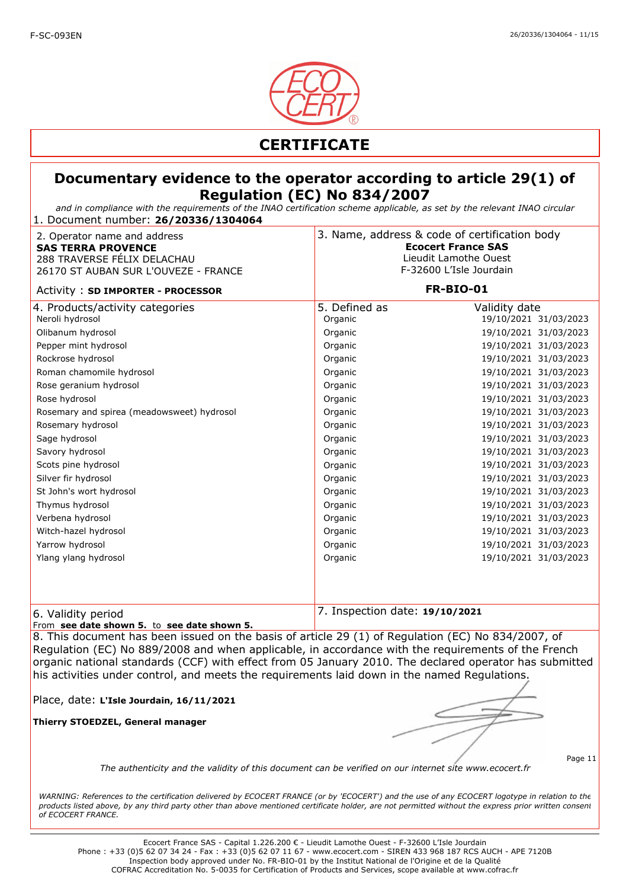

#### **Documentary evidence to the operator according to article 29(1) of Regulation (EC) No 834/2007**

*and in compliance with the requirements of the INAO certification scheme applicable, as set by the relevant INAO circular* 1. Document number: **26/20336/1304064**

| 2. Operator name and address<br><b>SAS TERRA PROVENCE</b><br>288 TRAVERSE FÉLIX DELACHAU<br>26170 ST AUBAN SUR L'OUVEZE - FRANCE                                                                                                                                                                                                                                                               |                                                                                                                                                                                    | 3. Name, address & code of certification body<br><b>Ecocert France SAS</b><br>Lieudit Lamothe Ouest<br>F-32600 L'Isle Jourdain                                                                                                                                                                                                                                                                       |  |
|------------------------------------------------------------------------------------------------------------------------------------------------------------------------------------------------------------------------------------------------------------------------------------------------------------------------------------------------------------------------------------------------|------------------------------------------------------------------------------------------------------------------------------------------------------------------------------------|------------------------------------------------------------------------------------------------------------------------------------------------------------------------------------------------------------------------------------------------------------------------------------------------------------------------------------------------------------------------------------------------------|--|
| Activity: SD IMPORTER - PROCESSOR                                                                                                                                                                                                                                                                                                                                                              |                                                                                                                                                                                    | <b>FR-BIO-01</b>                                                                                                                                                                                                                                                                                                                                                                                     |  |
| 4. Products/activity categories<br>Neroli hydrosol<br>Olibanum hydrosol<br>Pepper mint hydrosol<br>Rockrose hydrosol<br>Roman chamomile hydrosol<br>Rose geranium hydrosol<br>Rose hydrosol<br>Rosemary and spirea (meadowsweet) hydrosol<br>Rosemary hydrosol<br>Sage hydrosol<br>Savory hydrosol<br>Scots pine hydrosol<br>Silver fir hydrosol<br>St John's wort hydrosol<br>Thymus hydrosol | 5. Defined as<br>Organic<br>Organic<br>Organic<br>Organic<br>Organic<br>Organic<br>Organic<br>Organic<br>Organic<br>Organic<br>Organic<br>Organic<br>Organic<br>Organic<br>Organic | Validity date<br>19/10/2021 31/03/2023<br>19/10/2021 31/03/2023<br>19/10/2021 31/03/2023<br>19/10/2021 31/03/2023<br>19/10/2021 31/03/2023<br>19/10/2021 31/03/2023<br>19/10/2021 31/03/2023<br>19/10/2021 31/03/2023<br>19/10/2021 31/03/2023<br>19/10/2021 31/03/2023<br>19/10/2021 31/03/2023<br>19/10/2021 31/03/2023<br>19/10/2021 31/03/2023<br>19/10/2021 31/03/2023<br>19/10/2021 31/03/2023 |  |
| Verbena hydrosol<br>Witch-hazel hydrosol<br>Yarrow hydrosol<br>Ylang ylang hydrosol                                                                                                                                                                                                                                                                                                            | Organic<br>Organic<br>Organic<br>Organic                                                                                                                                           | 19/10/2021 31/03/2023<br>19/10/2021 31/03/2023<br>19/10/2021 31/03/2023<br>19/10/2021 31/03/2023                                                                                                                                                                                                                                                                                                     |  |
| 6. Validity period                                                                                                                                                                                                                                                                                                                                                                             | 7. Inspection date: 19/10/2021                                                                                                                                                     |                                                                                                                                                                                                                                                                                                                                                                                                      |  |

From **see date shown 5.** to **see date shown 5.** 

8. This document has been issued on the basis of article 29 (1) of Regulation (EC) No 834/2007, of Regulation (EC) No 889/2008 and when applicable, in accordance with the requirements of the French organic national standards (CCF) with effect from 05 January 2010. The declared operator has submitted his activities under control, and meets the requirements laid down in the named Regulations.

Place, date: **L'Isle Jourdain, 16/11/2021**

**Thierry STOEDZEL, General manager**

Page 11

*The authenticity and the validity of this document can be verified on our internet site www.ecocert.fr*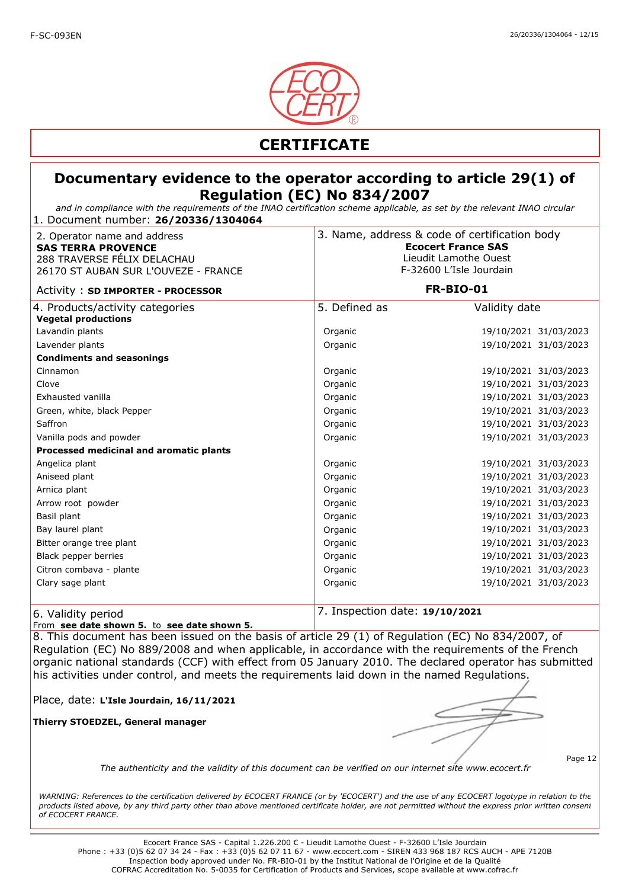

*and in compliance with the requirements of the INAO certification scheme applicable, as set by the relevant INAO circular* 1. Document number: **26/20336/1304064**

| 2. Operator name and address<br><b>SAS TERRA PROVENCE</b><br>288 TRAVERSE FÉLIX DELACHAU<br>26170 ST AUBAN SUR L'OUVEZE - FRANCE |                                | 3. Name, address & code of certification body<br><b>Ecocert France SAS</b><br>Lieudit Lamothe Ouest<br>F-32600 L'Isle Jourdain<br>FR-BIO-01 |  |
|----------------------------------------------------------------------------------------------------------------------------------|--------------------------------|---------------------------------------------------------------------------------------------------------------------------------------------|--|
| Activity: SD IMPORTER - PROCESSOR                                                                                                |                                |                                                                                                                                             |  |
| 4. Products/activity categories<br><b>Vegetal productions</b>                                                                    | 5. Defined as                  | Validity date                                                                                                                               |  |
| Lavandin plants                                                                                                                  | Organic                        | 19/10/2021 31/03/2023                                                                                                                       |  |
| Lavender plants                                                                                                                  | Organic                        | 19/10/2021 31/03/2023                                                                                                                       |  |
| <b>Condiments and seasonings</b>                                                                                                 |                                |                                                                                                                                             |  |
| Cinnamon                                                                                                                         | Organic                        | 19/10/2021 31/03/2023                                                                                                                       |  |
| Clove                                                                                                                            | Organic                        | 19/10/2021 31/03/2023                                                                                                                       |  |
| Exhausted vanilla                                                                                                                | Organic                        | 19/10/2021 31/03/2023                                                                                                                       |  |
| Green, white, black Pepper                                                                                                       | Organic                        | 19/10/2021 31/03/2023                                                                                                                       |  |
| Saffron                                                                                                                          | Organic                        | 19/10/2021 31/03/2023                                                                                                                       |  |
| Vanilla pods and powder                                                                                                          | Organic                        | 19/10/2021 31/03/2023                                                                                                                       |  |
| Processed medicinal and aromatic plants                                                                                          |                                |                                                                                                                                             |  |
| Angelica plant                                                                                                                   | Organic                        | 19/10/2021 31/03/2023                                                                                                                       |  |
| Aniseed plant                                                                                                                    | Organic                        | 19/10/2021 31/03/2023                                                                                                                       |  |
| Arnica plant                                                                                                                     | Organic                        | 19/10/2021 31/03/2023                                                                                                                       |  |
| Arrow root powder                                                                                                                | Organic                        | 19/10/2021 31/03/2023                                                                                                                       |  |
| Basil plant                                                                                                                      | Organic                        | 19/10/2021 31/03/2023                                                                                                                       |  |
| Bay laurel plant                                                                                                                 | Organic                        | 19/10/2021 31/03/2023                                                                                                                       |  |
| Bitter orange tree plant                                                                                                         | Organic                        | 19/10/2021 31/03/2023                                                                                                                       |  |
| Black pepper berries                                                                                                             | Organic                        | 19/10/2021 31/03/2023                                                                                                                       |  |
| Citron combava - plante                                                                                                          | Organic                        | 19/10/2021 31/03/2023                                                                                                                       |  |
| Clary sage plant                                                                                                                 | Organic                        | 19/10/2021 31/03/2023                                                                                                                       |  |
| 6. Validity period                                                                                                               | 7. Inspection date: 19/10/2021 |                                                                                                                                             |  |

From **see date shown 5.** to **see date shown 5.** 

8. This document has been issued on the basis of article 29 (1) of Regulation (EC) No 834/2007, of Regulation (EC) No 889/2008 and when applicable, in accordance with the requirements of the French organic national standards (CCF) with effect from 05 January 2010. The declared operator has submitted his activities under control, and meets the requirements laid down in the named Regulations.

Place, date: **L'Isle Jourdain, 16/11/2021**

**Thierry STOEDZEL, General manager**

*The authenticity and the validity of this document can be verified on our internet site www.ecocert.fr*

Page 12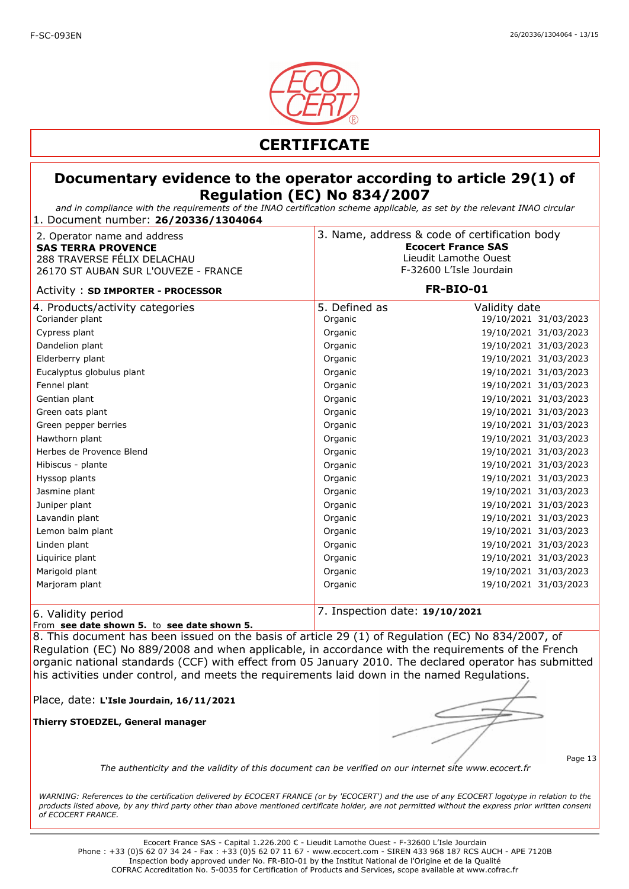

#### **Documentary evidence to the operator according to article 29(1) of Regulation (EC) No 834/2007**

*and in compliance with the requirements of the INAO certification scheme applicable, as set by the relevant INAO circular* 1. Document number: **26/20336/1304064**

| 2. Operator name and address<br><b>SAS TERRA PROVENCE</b><br>288 TRAVERSE FÉLIX DELACHAU<br>26170 ST AUBAN SUR L'OUVEZE - FRANCE | 3. Name, address & code of certification body<br><b>Ecocert France SAS</b><br>Lieudit Lamothe Ouest<br>F-32600 L'Isle Jourdain |                       |
|----------------------------------------------------------------------------------------------------------------------------------|--------------------------------------------------------------------------------------------------------------------------------|-----------------------|
| Activity: SD IMPORTER - PROCESSOR                                                                                                | <b>FR-BIO-01</b>                                                                                                               |                       |
| 4. Products/activity categories                                                                                                  | 5. Defined as                                                                                                                  | Validity date         |
| Coriander plant                                                                                                                  | Organic                                                                                                                        | 19/10/2021 31/03/2023 |
| Cypress plant                                                                                                                    | Organic                                                                                                                        | 19/10/2021 31/03/2023 |
| Dandelion plant                                                                                                                  | Organic                                                                                                                        | 19/10/2021 31/03/2023 |
| Elderberry plant                                                                                                                 | Organic                                                                                                                        | 19/10/2021 31/03/2023 |
| Eucalyptus globulus plant                                                                                                        | Organic                                                                                                                        | 19/10/2021 31/03/2023 |
| Fennel plant                                                                                                                     | Organic                                                                                                                        | 19/10/2021 31/03/2023 |
| Gentian plant                                                                                                                    | Organic                                                                                                                        | 19/10/2021 31/03/2023 |
| Green oats plant                                                                                                                 | Organic                                                                                                                        | 19/10/2021 31/03/2023 |
| Green pepper berries                                                                                                             | Organic                                                                                                                        | 19/10/2021 31/03/2023 |
| Hawthorn plant                                                                                                                   | Organic                                                                                                                        | 19/10/2021 31/03/2023 |
| Herbes de Provence Blend                                                                                                         | Organic                                                                                                                        | 19/10/2021 31/03/2023 |
| Hibiscus - plante                                                                                                                | Organic                                                                                                                        | 19/10/2021 31/03/2023 |
| Hyssop plants                                                                                                                    | Organic                                                                                                                        | 19/10/2021 31/03/2023 |
| Jasmine plant                                                                                                                    | Organic                                                                                                                        | 19/10/2021 31/03/2023 |
| Juniper plant                                                                                                                    | Organic                                                                                                                        | 19/10/2021 31/03/2023 |
| Lavandin plant                                                                                                                   | Organic                                                                                                                        | 19/10/2021 31/03/2023 |
| Lemon balm plant                                                                                                                 | Organic                                                                                                                        | 19/10/2021 31/03/2023 |
| Linden plant                                                                                                                     | Organic                                                                                                                        | 19/10/2021 31/03/2023 |
| Liquirice plant                                                                                                                  | Organic                                                                                                                        | 19/10/2021 31/03/2023 |
| Marigold plant                                                                                                                   | Organic                                                                                                                        | 19/10/2021 31/03/2023 |
| Marjoram plant                                                                                                                   | Organic                                                                                                                        | 19/10/2021 31/03/2023 |
| 6. Validity period                                                                                                               | 7. Inspection date: 19/10/2021                                                                                                 |                       |

From **see date shown 5.** to **see date shown 5.** 

8. This document has been issued on the basis of article 29 (1) of Regulation (EC) No 834/2007, of Regulation (EC) No 889/2008 and when applicable, in accordance with the requirements of the French organic national standards (CCF) with effect from 05 January 2010. The declared operator has submitted his activities under control, and meets the requirements laid down in the named Regulations.

Place, date: **L'Isle Jourdain, 16/11/2021**

**Thierry STOEDZEL, General manager**

*The authenticity and the validity of this document can be verified on our internet site www.ecocert.fr*

Page 13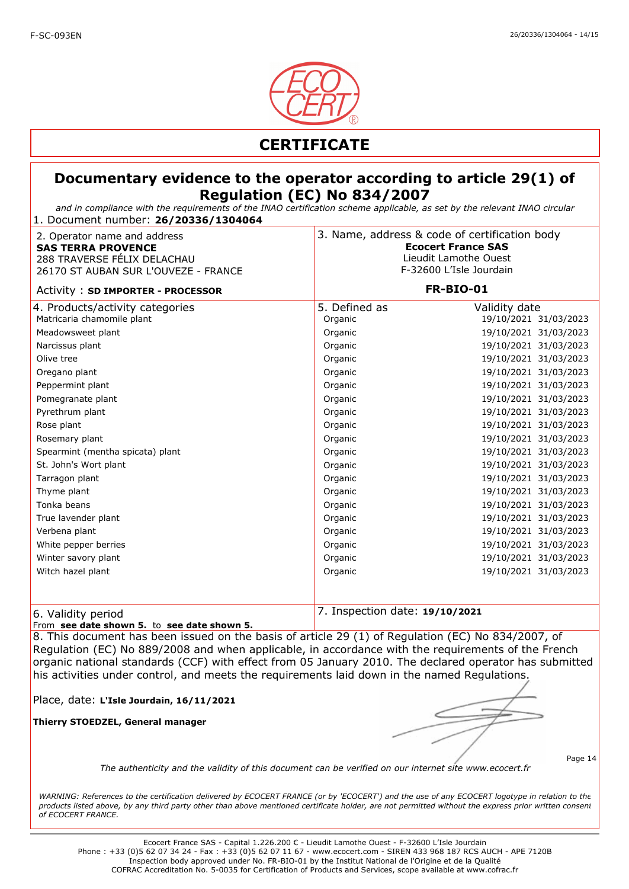

#### **Documentary evidence to the operator according to article 29(1) of Regulation (EC) No 834/2007**

*and in compliance with the requirements of the INAO certification scheme applicable, as set by the relevant INAO circular* 1. Document number: **26/20336/1304064**

| 2. Operator name and address<br><b>SAS TERRA PROVENCE</b><br>288 TRAVERSE FÉLIX DELACHAU<br>26170 ST AUBAN SUR L'OUVEZE - FRANCE | 3. Name, address & code of certification body<br><b>Ecocert France SAS</b><br>Lieudit Lamothe Ouest<br>F-32600 L'Isle Jourdain |                       |
|----------------------------------------------------------------------------------------------------------------------------------|--------------------------------------------------------------------------------------------------------------------------------|-----------------------|
| Activity: SD IMPORTER - PROCESSOR                                                                                                | <b>FR-BIO-01</b>                                                                                                               |                       |
| 4. Products/activity categories                                                                                                  | 5. Defined as                                                                                                                  | Validity date         |
| Matricaria chamomile plant                                                                                                       | Organic                                                                                                                        | 19/10/2021 31/03/2023 |
| Meadowsweet plant                                                                                                                | Organic                                                                                                                        | 19/10/2021 31/03/2023 |
| Narcissus plant                                                                                                                  | Organic                                                                                                                        | 19/10/2021 31/03/2023 |
| Olive tree                                                                                                                       | Organic                                                                                                                        | 19/10/2021 31/03/2023 |
| Oregano plant                                                                                                                    | Organic                                                                                                                        | 19/10/2021 31/03/2023 |
| Peppermint plant                                                                                                                 | Organic                                                                                                                        | 19/10/2021 31/03/2023 |
| Pomegranate plant                                                                                                                | Organic                                                                                                                        | 19/10/2021 31/03/2023 |
| Pyrethrum plant                                                                                                                  | Organic                                                                                                                        | 19/10/2021 31/03/2023 |
| Rose plant                                                                                                                       | Organic                                                                                                                        | 19/10/2021 31/03/2023 |
| Rosemary plant                                                                                                                   | Organic                                                                                                                        | 19/10/2021 31/03/2023 |
| Spearmint (mentha spicata) plant                                                                                                 | Organic                                                                                                                        | 19/10/2021 31/03/2023 |
| St. John's Wort plant                                                                                                            | Organic                                                                                                                        | 19/10/2021 31/03/2023 |
| Tarragon plant                                                                                                                   | Organic                                                                                                                        | 19/10/2021 31/03/2023 |
| Thyme plant                                                                                                                      | Organic                                                                                                                        | 19/10/2021 31/03/2023 |
| Tonka beans                                                                                                                      | Organic                                                                                                                        | 19/10/2021 31/03/2023 |
| True lavender plant                                                                                                              | Organic                                                                                                                        | 19/10/2021 31/03/2023 |
| Verbena plant                                                                                                                    | Organic                                                                                                                        | 19/10/2021 31/03/2023 |
| White pepper berries                                                                                                             | Organic                                                                                                                        | 19/10/2021 31/03/2023 |
| Winter savory plant                                                                                                              | Organic                                                                                                                        | 19/10/2021 31/03/2023 |
| Witch hazel plant                                                                                                                | Organic                                                                                                                        | 19/10/2021 31/03/2023 |
|                                                                                                                                  |                                                                                                                                |                       |
| 6. Validity period                                                                                                               | 7. Inspection date: 19/10/2021                                                                                                 |                       |

From **see date shown 5.** to **see date shown 5.** 

8. This document has been issued on the basis of article 29 (1) of Regulation (EC) No 834/2007, of Regulation (EC) No 889/2008 and when applicable, in accordance with the requirements of the French organic national standards (CCF) with effect from 05 January 2010. The declared operator has submitted his activities under control, and meets the requirements laid down in the named Regulations.

Place, date: **L'Isle Jourdain, 16/11/2021**

**Thierry STOEDZEL, General manager**

Page 14

*The authenticity and the validity of this document can be verified on our internet site www.ecocert.fr*